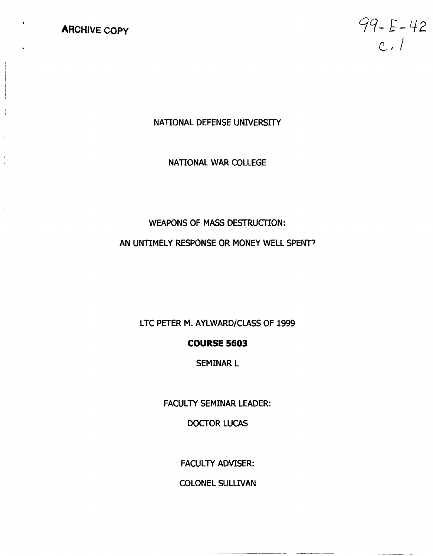# **ARCHIVE** *COPY*

 $99 - E - 42$  $c.1$ 

 $-$ 

## **NATIONAL DEFENSE UNIVERSITY**

## **NATIONAL WAR COLLEGE**

# **WEAPONS OF MASS DESTRUCTION:**

# **AN UNTIMELY RESPONSE OR MONEY WELL SPENT3**

**LTC PETER M. AYLWARD/CLASS OF 1999** 

## **COURSE 5603**

**SEMINAR L** 

**FACULTY SEMINAR LEADER:** 

**DOCTOR LUCAS** 

**FACULTY ADVISER:** 

**COLONEL SULLIVAN**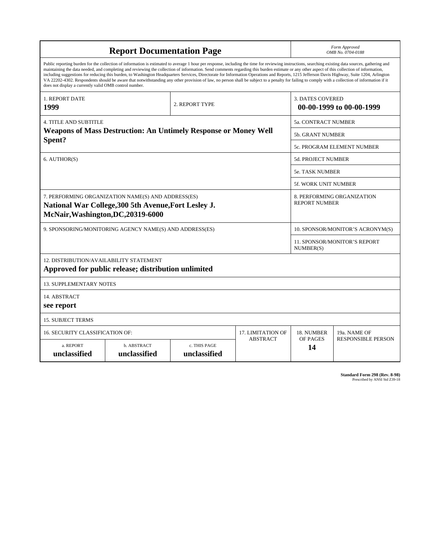| <b>Report Documentation Page</b>                                                                                                                                                                                                                                                                                                                                                                                                                                                                                                                                                                                                                                                                                                                                                                                                                                   |                             |                                           |                          |                                                     | Form Approved<br>OMB No. 0704-0188                 |  |  |
|--------------------------------------------------------------------------------------------------------------------------------------------------------------------------------------------------------------------------------------------------------------------------------------------------------------------------------------------------------------------------------------------------------------------------------------------------------------------------------------------------------------------------------------------------------------------------------------------------------------------------------------------------------------------------------------------------------------------------------------------------------------------------------------------------------------------------------------------------------------------|-----------------------------|-------------------------------------------|--------------------------|-----------------------------------------------------|----------------------------------------------------|--|--|
| Public reporting burden for the collection of information is estimated to average 1 hour per response, including the time for reviewing instructions, searching existing data sources, gathering and<br>maintaining the data needed, and completing and reviewing the collection of information. Send comments regarding this burden estimate or any other aspect of this collection of information,<br>including suggestions for reducing this burden, to Washington Headquarters Services, Directorate for Information Operations and Reports, 1215 Jefferson Davis Highway, Suite 1204, Arlington<br>VA 22202-4302. Respondents should be aware that notwithstanding any other provision of law, no person shall be subject to a penalty for failing to comply with a collection of information if it<br>does not display a currently valid OMB control number. |                             |                                           |                          |                                                     |                                                    |  |  |
| 1. REPORT DATE<br>1999                                                                                                                                                                                                                                                                                                                                                                                                                                                                                                                                                                                                                                                                                                                                                                                                                                             |                             | 2. REPORT TYPE                            |                          | <b>3. DATES COVERED</b><br>00-00-1999 to 00-00-1999 |                                                    |  |  |
| <b>4. TITLE AND SUBTITLE</b>                                                                                                                                                                                                                                                                                                                                                                                                                                                                                                                                                                                                                                                                                                                                                                                                                                       |                             |                                           |                          | <b>5a. CONTRACT NUMBER</b>                          |                                                    |  |  |
| <b>Weapons of Mass Destruction: An Untimely Response or Money Well</b><br>Spent?                                                                                                                                                                                                                                                                                                                                                                                                                                                                                                                                                                                                                                                                                                                                                                                   |                             |                                           |                          | 5b. GRANT NUMBER                                    |                                                    |  |  |
|                                                                                                                                                                                                                                                                                                                                                                                                                                                                                                                                                                                                                                                                                                                                                                                                                                                                    |                             |                                           |                          | 5c. PROGRAM ELEMENT NUMBER                          |                                                    |  |  |
| 6. AUTHOR(S)                                                                                                                                                                                                                                                                                                                                                                                                                                                                                                                                                                                                                                                                                                                                                                                                                                                       |                             |                                           |                          | <b>5d. PROJECT NUMBER</b>                           |                                                    |  |  |
|                                                                                                                                                                                                                                                                                                                                                                                                                                                                                                                                                                                                                                                                                                                                                                                                                                                                    |                             |                                           |                          |                                                     | <b>5e. TASK NUMBER</b>                             |  |  |
|                                                                                                                                                                                                                                                                                                                                                                                                                                                                                                                                                                                                                                                                                                                                                                                                                                                                    |                             |                                           |                          |                                                     | 5f. WORK UNIT NUMBER                               |  |  |
| 7. PERFORMING ORGANIZATION NAME(S) AND ADDRESS(ES)<br>National War College, 300 5th Avenue, Fort Lesley J.<br>McNair, Washington, DC, 20319-6000                                                                                                                                                                                                                                                                                                                                                                                                                                                                                                                                                                                                                                                                                                                   |                             |                                           |                          |                                                     | 8. PERFORMING ORGANIZATION<br><b>REPORT NUMBER</b> |  |  |
| 9. SPONSORING/MONITORING AGENCY NAME(S) AND ADDRESS(ES)                                                                                                                                                                                                                                                                                                                                                                                                                                                                                                                                                                                                                                                                                                                                                                                                            |                             |                                           |                          | 10. SPONSOR/MONITOR'S ACRONYM(S)                    |                                                    |  |  |
|                                                                                                                                                                                                                                                                                                                                                                                                                                                                                                                                                                                                                                                                                                                                                                                                                                                                    |                             | 11. SPONSOR/MONITOR'S REPORT<br>NUMBER(S) |                          |                                                     |                                                    |  |  |
| 12. DISTRIBUTION/AVAILABILITY STATEMENT<br>Approved for public release; distribution unlimited                                                                                                                                                                                                                                                                                                                                                                                                                                                                                                                                                                                                                                                                                                                                                                     |                             |                                           |                          |                                                     |                                                    |  |  |
| <b>13. SUPPLEMENTARY NOTES</b>                                                                                                                                                                                                                                                                                                                                                                                                                                                                                                                                                                                                                                                                                                                                                                                                                                     |                             |                                           |                          |                                                     |                                                    |  |  |
| 14. ABSTRACT<br>see report                                                                                                                                                                                                                                                                                                                                                                                                                                                                                                                                                                                                                                                                                                                                                                                                                                         |                             |                                           |                          |                                                     |                                                    |  |  |
| <b>15. SUBJECT TERMS</b>                                                                                                                                                                                                                                                                                                                                                                                                                                                                                                                                                                                                                                                                                                                                                                                                                                           |                             |                                           |                          |                                                     |                                                    |  |  |
| <b>16. SECURITY CLASSIFICATION OF:</b>                                                                                                                                                                                                                                                                                                                                                                                                                                                                                                                                                                                                                                                                                                                                                                                                                             |                             |                                           | <b>17. LIMITATION OF</b> | 18. NUMBER                                          | 19a. NAME OF                                       |  |  |
| a. REPORT<br>unclassified                                                                                                                                                                                                                                                                                                                                                                                                                                                                                                                                                                                                                                                                                                                                                                                                                                          | b. ABSTRACT<br>unclassified | c. THIS PAGE<br>unclassified              | <b>ABSTRACT</b>          | OF PAGES<br>14                                      | <b>RESPONSIBLE PERSON</b>                          |  |  |

| <b>Standard Form 298 (Rev. 8-98)</b> |                               |  |  |
|--------------------------------------|-------------------------------|--|--|
|                                      | Prescribed by ANSI Std Z39-18 |  |  |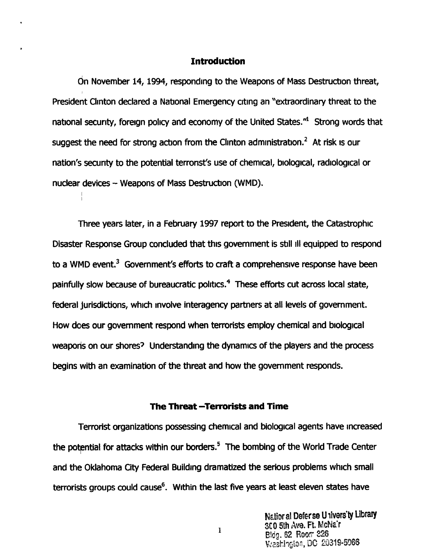## **Introduction**

On November 14, 1994, responding to the Weapons of Mass Destruction threat, President Clinton declared a National Emergency citing an "extraordinary threat to the national security, foreign policy and economy of the United States."<sup>1</sup> Strong words that suggest the need for strong action from the Clinton administration.<sup>2</sup> At risk is our nation's security to the potential terrorist's use of chemical, biological, radiological or nuclear devices - Weapons of Mass Destruction (WMD).

Three years later, in a February 1997 report to the President, the Catastrophic Disaster Response Group concluded that this government is still 111 equipped to respond to a WMD event.<sup>3</sup> Government's efforts to craft a comprehensive response have been painfully slow because of bureaucratic politics. $4~$  These efforts cut across local state, federal jurisdictions, which involve interagency partners at all levels of government. How does our government respond when terrorists employ chemical and biological weaporis on our shores? Understanding the dynamics of the players and the process begins with an examination of the threat and how the government responds.

## **The Threat -Terrorists and Time**

Terrorist organizations possessing chemical and biological agents have increased the potential for attacks within our borders.<sup>5</sup> The bombing of the World Trade Center and the Oklahoma City Federal Building dramatized the serious problems which small terrorists groups could cause<sup>6</sup>. Within the last five years at least eleven states have

> Natior al Deferse Univers'ty Library 300 5th Ave. Ft. McNa'r Bldg. 62 Room 226 Washington, DC 20319-5066

 $\mathbf{I}$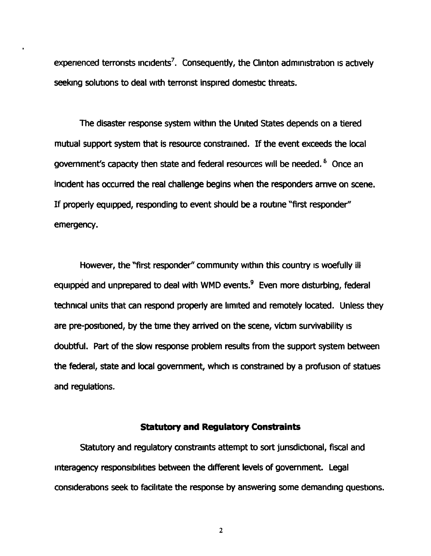experienced terrorists incidents<sup>7</sup>. Consequently, the Clinton administration is actively seeking solutions to deal with terrorist inspired domestic threats.

The disaster response system within the United States depends on a tiered mutual support system that is resource constrained. If the event exceeds the local government's capacity then state and federal resources will be needed. <sup>8</sup> Once an incident has occurred the real challenge begins when the responders arrive on scene. If properly equipped, responding to event should be a routine "first responder" emergency.

However, the "first responder" community within this country is woefully ill equipped and unprepared to deal with WMD events.<sup>9</sup> Even more disturbing, federal technical units that can respond properly are limited and remotely located. Unless they are pre-positioned, by the time they arrived on the scene, victim survivability is doubtful. Part of the slow response problem results from the support system between the federal, state and local government, which is constrained by a profusion of statues and regulations.

## **Statutory and Regulatory Constraints**

Statutory and regulatory constraints attempt to sort jurisdictional, fiscal and interagency responsibilities between the different levels of government. Legal considerations seek to facilitate the response by answering some demanding questions.

 $\overline{2}$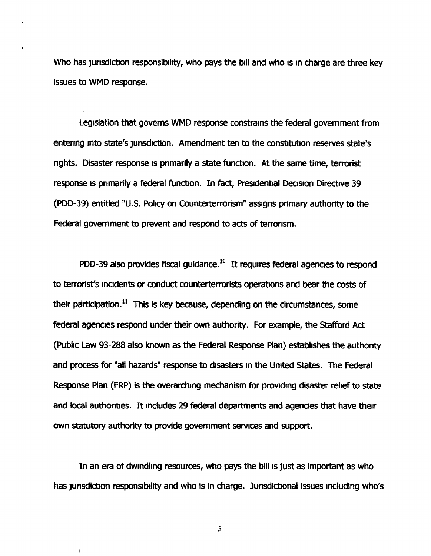Who has jurisdiction responsibility, who pays the bill and who is in charge are three key issues to WMD response.

Legislation that governs WMD response constrains the federal government from entering into state's jurisdiction. Amendment ten to the constitution reserves state's nghts. Disaster response IS primarily a state function. At the same time, terrorist response is primarily a federal function. In fact, Presidential Decision Directive 39 (PDD-39) entitled "U.S. Policy on Counterterrorism" assigns primary authority to the Federal government to prevent and respond to acts of terrorism.

PDD-39 also provides fiscal guidance.'' It requires federal agencies to respond to terrorist's incidents or conduct counterterrorists operations and bear the costs of their participation. $^{11}$  This is key because, depending on the circumstances, some federal agencies respond under their own authority. For example, the Stafford Act (Public Law 93-288 also known as the Federal Response Plan) establishes the authority and process for "all hazards" response to disasters in the United States. The Federal Response Plan (FRP) is the overarching mechanism for providing disaster relief to state and local authorities. It includes 29 federal departments and agencies that have their own **statutory** authority to provide government services and support.

In an era of dwindling resources, who pays the bill is just as important as who has jurisdiction responsibility and who is in charge. Jurisdictional issues including who's

 $\overline{\mathbf{3}}$ 

 $\overline{1}$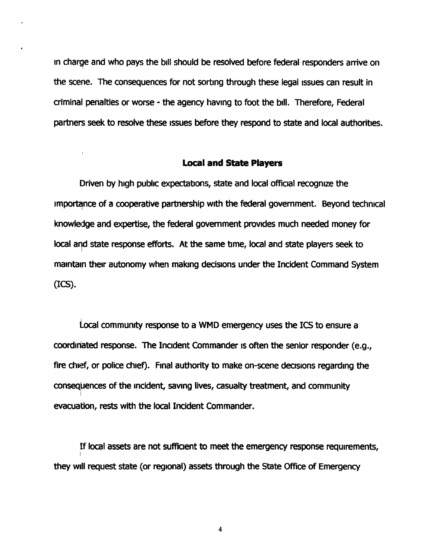In charqe and who pays the bill should be resolved before federal responders arrive on the scene. The consequences for not sorting through these legal issues can result in criminal penalties or worse - the agency having to foot the bill. Therefore, Federal partners seek to resolve these issues before they respond to state and local authorities.

#### **Local and State Players**

Driven by high public **expectatrons,** state and local officral recognize the importance of a cooperative partnership with the federal government. Beyond technical knowledge and expertise, the federal government prowdes much needed money for local and state response efforts. At the same time, local and state players seek to maintain their autonomy when making decisions under the Incident Command System **(ICS).** 

Local community response to a WMD emergency uses the ICS to ensure a coordinated response. The Incident Commander is often the senior responder (e.g., fire chief, or police chief). Final authority to make on-scene decisions regarding the consequences of the incident, saving lives, casualty treatment, and community evacuation, **rests** with the local Incident Commander.

If local assets are not sufficient to meet the emergency response requirements, they will request state (or regional) assets through the State Office of Emergency

 $\ddot{\phantom{0}}$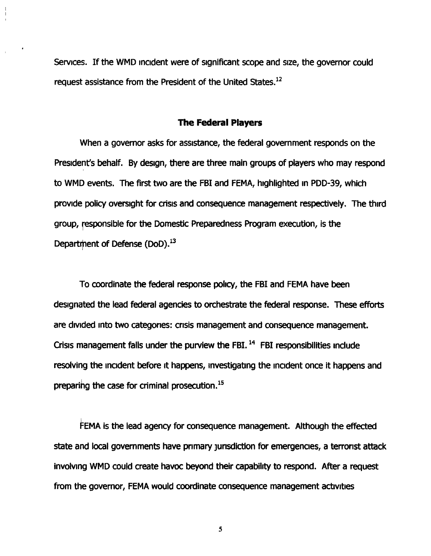Services. If the WMD incident were of significant scope and size, the governor could request assistance from the President of the United States.<sup>12</sup>

#### The **Federal Players**

When a governor asks for assistance, the federal government responds on the President's behalf. By design, there are three main groups of players who may respond to WMD events. The first two are the FBI and FEMA, highlighted in PDD-39, which provide policy oversight for crisis and consequence management respectively. The third group, responsible for the Domestic Preparedness Program execution, is the Department of Defense (DoD).<sup>13</sup>

To coordinate the federal response policy, the FBI and FEMA have been designated the lead federal agencies to orchestrate the federal response. These efforts are divided into two categories: crisis management and consequence management. Crisis management falls under the purview the FBI.<sup>14</sup> FBI responsibilities include resolving the incident before it happens, investigating the incident once it happens and preparing the case for criminal prosecution. $^{15}$ 

FEMA is the lead agency for consequence management. Although the effected state and local governments have primary jurisdiction for emergencies, a terrorist attack involvmg WMD could create havoc beyond their capability to respond. After a request from the governor, FEMA would coordinate consequence management activities

5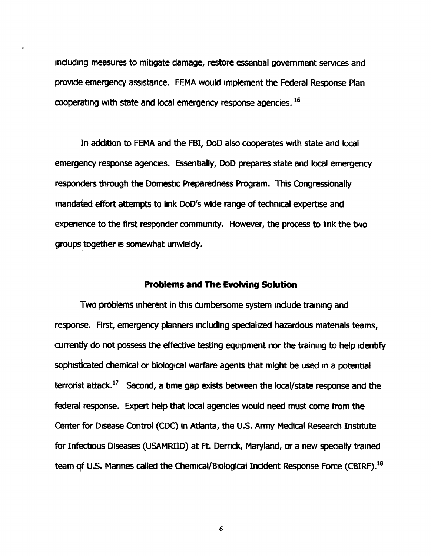including measures to mitigate damage, restore essential government services and provide emergency assistance. FEMA would implement the Federal Response Plan cooperating with state and local emergency response agencies. **l6** 

'In addition to FEMA and the FBI, DoD also cooperates with state and local emergency response agencies. Essentially, DoD prepares state and local emergency responders through the Domestic Preparedness Program. This Congressionally mandated effort attempts to link DoD's wide range of technical expertise and experience to the first responder community. However, the process to link the two groups together is somewhat unwieldy.

I

#### **Problems and The Evolving Solution**

Two problems inherent in this cumbersome system include training and response. First, emergency planners including specialized hazardous matenals teams, currently **do** not possess the effective testing equipment nor **the** training to help identify sophisticated chemical or biological warfare agents that might be used in a potential terrorist attack.<sup>17</sup> Second, a time gap exists between the local/state response and the federal response. Expert help that local agencies would need must come from the Center for Disease Control (CDC) in Atlanta, the U.S. Army Medical Research Institute for Infectious Diseases (USAMRIID) at Ft. Derrick, Maryland, or a new specially trained team of U.S. Mannes called the Chemical/Biological Incident Response Force (CBIRF).<sup>18</sup>

 $\boldsymbol{6}$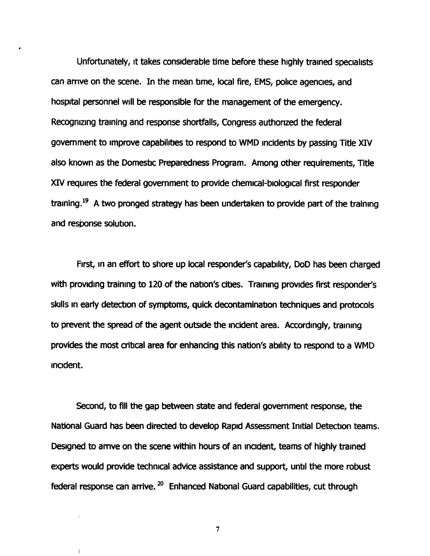Unfortunately, it takes considerable time before these highly trained specialists can arrive on the scene. In the mean time, local fire, EMS, police agencies, and hospital personnel will be responsible for the management of the emergency. Recognizing traming and response shortfalls, Congress authorized the federal government to improve capabilities to respond to WMD rncidents by passing Title **XIV**  also known as the Domestic Preparedness Program. Among other requirements, Title XIV requires the federal government to provide chemical-biological first responder training.<sup>19</sup> A two pronged strategy has been undertaken to provide part of the training and response solution.

First, in an effort to shore up local responder's capability, DoD has been charged with provding training to 120 of the nation's cities. Training provrdes first responder's skills in early detection of symptoms, quick decontamination techniques and protocols to prevent the spread of the agent outside the incident area. Accordingly, training provides the most critical area for enhancing this nation's ability to respond to a WMD incident.

Second, to fill the gap between state and federal government response, the National Guard has been directed to develop Rapid Assessment Initial Detection teams. Desgned to amve on the scene within hours of an incident, teams of highly trained experts would provide technical advice assistance and support, until the more robust federal response can arrive.  $20$  Enhanced National Guard capabilities, cut through

 $\overline{7}$ 

 $\mathbf{I}$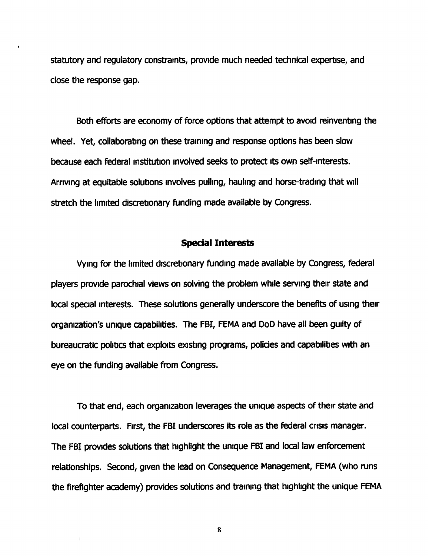statutory and regulatory constraints, provide much needed technical expertise, and close the response gap.

Both efforts are economy of force options that attempt to avoid reinventing the wheel. Yet, collaborating on these training and response options has been slow because each federal institution involved seeks to protect its own self-interests. Arriving at equitable solutions involves pulling, hauling and horse-trading that will stretch the limited discretionary funding made available by Congress.

#### **Special Interests**

Vying for the limited discretionary funding made available by Congress, federal players provide parochial views on solving the problem while serving their state and local special interests. These solutions generally underscore the benefits of using their organization's unique capabilities. The FBI, FEMA and DoD have all been guilty of bureaucratic politics that exploits existing programs, policies and capabilities with an eye on the funding available from Congress.

To that end, each organization leverages the unique aspects of their state and local counterparts. First, the FBI underscores its role as the federal crisis manager. The **FBJ** provides solutions that highlight the unque FBI **and** local law enforcement retationships. Second, given the lead on Consequence Management, FEMA (who runs the firefighter academy) provides solutions and training that highlight the unique FEMA

8

 $\mathbf{I}$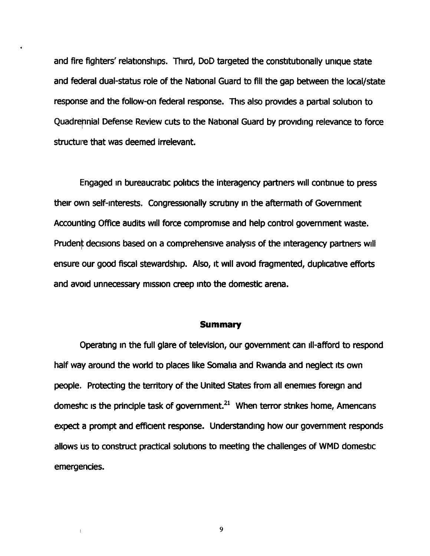and fire fighters' relationships. Third, DoD targeted the constitutionally unique state and federal dual-status role of the National Guard to fill the gap between the local/state response and the follow-on federal response. This also provides a partial solution to Quadrepnial Defense Review cuts to the National Guard by providing relevance to force structure that was deemed irrelevant.

Engaged In bureaucratic politics the interagency partners will conbnue to press their own self-interests. Congressionally scrutiny In the aftermath of Government Accounting Office audits will force compromise and help control government waste. Prudent decisions based on a comprehensive analysis of the interagency partners will ensure our good fiscal stewardship. Also, it will avoid fragmented, duplicative efforts and avoid unnecessary mission creep into the domestic arena.

#### **Summary**

Operating In the full glare of television, our govemment can 111-afford to respond half way around the world to places like Somalia and Rwanda and neglect its own people. Protecting the territory of the United States from all enemies foreign and domestic is the principle task of government. $21$  When terror strikes home, Americans expect a prompt and efficient response. Understandmg how our government responds allows us to construct practical solutions to meeting the challenges of WMD domestic emergencies.

9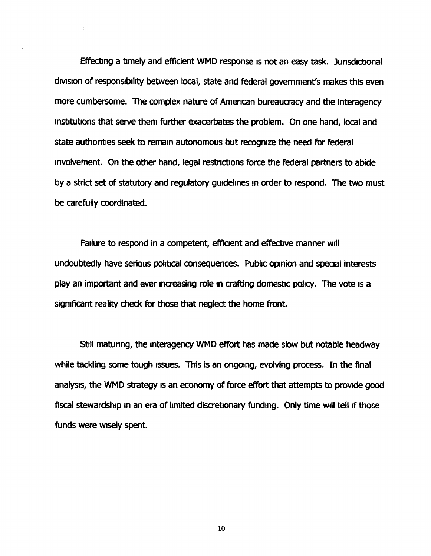Effecting a timely and efficient WMD response is not an easy task. Jurisdictional division of responsibility between local, state and federal government's makes this even more cumbersome. The complex nature of Amencan bureaucracy and the interagency institutions that serve them further exacerbates the problem. On one hand, local and state authorities seek to remain autonomous but recognize the need for federal involvement. On the other hand, legal restrictions force the federal partners to abide by a strict set of statutory and regulatory gurdellnes In order to respond. The **two** must be carefully coordinated.

 $\overline{1}$ 

Failure to respond in a competent, efficient and effective manner will undoubtedly have serious political consequences. Public opinion and special interests play an important and ever increasing role in crafting domestic policy. The vote is a significant reality check for those that neglect the home front.

Still maturing, the interagency WMD effort has made slow but notable headway while tackling some tough issues. This is an ongoing, evolving process. In the final analysts, the WMD strategy is an economy of force effort that attempts to provlde good fiscal stewardship in an era of limited discretionary funding. Only time will tell if those funds **were wsely** spent.

10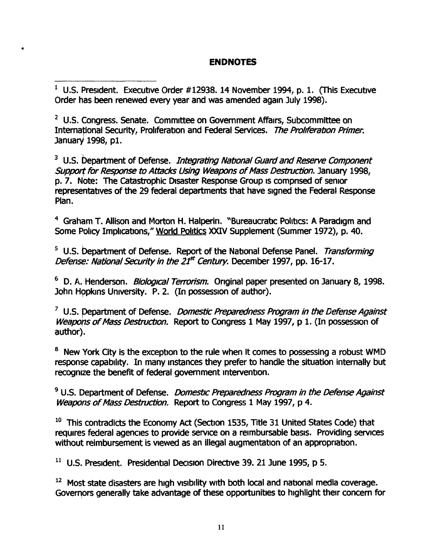# **ENDNOTES**

 $1$  U.S. President. Executive Order #12938. 14 November 1994, p. 1. (This Executive Order has been renewed every year and was amended again July 1998).

<sup>2</sup> U.S. Congress. Senate. Committee on Government Affairs, Subcommittee on International Security, Proliferation and Federal Services. The Proliferation Primer. January 1998, p1.

<sup>3</sup> U.S. bepartment of Defense. *Integrating National Guard and Reserve Component* Support for Response to Attacks Using Weapons of Mass Destruction. January 1998, p. 7. Note: The Catastrophic Disaster Response Group is comprised of senior representatives of the 29 federal departments that have signed the Federal Response Plan.

<sup>4</sup> Graham T. Allison and Morton H. Halperin. "Bureaucratic Politics: A Paradigm and Some **Policy** Implicatrons," World Politics **XXIV** Supplement (Summer 1972), p. 40.

<sup>5</sup> U.S. Department of Defense. Report of the National Defense Panel. Transforming Defense: National Security in the 21<sup>st</sup> Century. December 1997, pp. 16-17.

<sup>6</sup> D. A. Henderson. *Biological Terrorism*. Original paper presented on January 8, 1998. John Hopkins University. P. 2. (In possession of author).

<sup>7</sup> U.S. Department of Defense. *Domestic Preparedness Program in the Defense Against* Weapons of Mass Destruction. Report to Congress 1 May 1997, p 1. (In possession of author).

New York City is the excepbon to the rule when **it** comes to possessing a robust WMD response capability. In many instances they prefer to handle the situation internally but recognize the benefit of federal government intervention.

<sup>9</sup> U.S. Department of Defense. *Domestic Preparedness Program in the Defense Against* Weapons of Mass Destruction. Report to Congress 1 May 1997, p 4.

<sup>10</sup> This contradicts the Economy Act (Section 1535, Title 31 United States Code) that requires federal agencies to provide service on a reimbursable basis. Providing services without reimbursement is viewed as an illegal augmentation of an appropriation.

**l1** U.S. President. Presidential Decisron Directwe 39. 21 June 1995, p 5.

<sup>12</sup> Most state disasters are high visibility with both local and national media coverage. Governors generally take advantage of these opportunities to highlight their concern for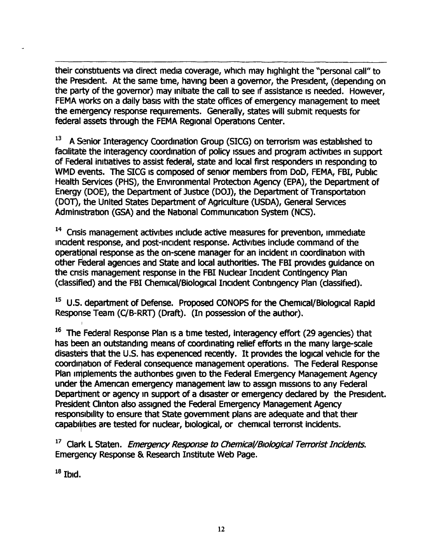their constituents via direct media coverage, which may highlight the "personal call" to the President. At the same time, having been a governor, the President, (depending on the party of the governor) may initiate the call to see if assistance is needed. However, FEMA works on a daily basis with the state offices of emergency management to meet the emergency response requirements. Generally, states will submit requests for federal assets through the FEMA Regional Operations Center.

<sup>13</sup> A Senior Interagency Coordination Group (SICG) on terrorism was established to facilitate the interagency coordination of policy issues and program activities in support of Federal initiatives to assist federal, state and local first responders in responding to WMD events. The SICG is composed of senior members from DoD, FEMA, FBI, Public Health Services (PHS), the Environmental Protection Agency (EPA), the Department of Energy (DOE), the Department of Jusbce (DOJ), the Department of Transportation (DOT), the United States Department of Agriculture (USDA), General Serwces Administration (GSA) and the National Communication System (NCS).

<sup>14</sup> Crisis management activities include active measures for prevention, immediate incident response, and post-incident response. Activities include command of the operatipal response as the on-scene manager for an incident in coordination with other Federal agencies and State and local authorities. The FBI provides guidance on the crisis management response in the FBI Nuclear Incident Contingency Plan (classified) and the FBI Chemical/Biological Incident Contingency Plan (classified).

<sup>15</sup> U.S. department of Defense. Proposed CONOPS for the Chemical/Biological Rapid Response Team (C/B-RRT) (Draft). (In possession of the author).

<sup>16</sup> The Federal Response Plan is a time tested, interagency effort (29 agencies) that has been an outstanding means of coordinating relief efforts in the many large-scale disasters that the U.S. has experienced recently. It provides the logical vehicle for the coordination of Federal consequence management operations. The Federal Response<br>Plan implements the authorities given to the Federal Emergency Management Agency<br>under the American emergency management law to assign mission Plan implements the authorities given to the Federal Emergency Management Agency<br>under the American emergency management law to assign missions to any Federal Department or agency in support of a disaster or emergency declared by the President. President Clinton also assigned the Federal Emergency Management Agency responsibility to ensure that State government plans are adequate and that their capabilities are tested for nuclear, biological, or chemical terrorist incidents.

<sup>17</sup> Clark L Staten. *Emergency Response to Chemical/Biological Terrorist Incidents*. Emergency Response & Research Institute Web Page.

**l8** Ibid.